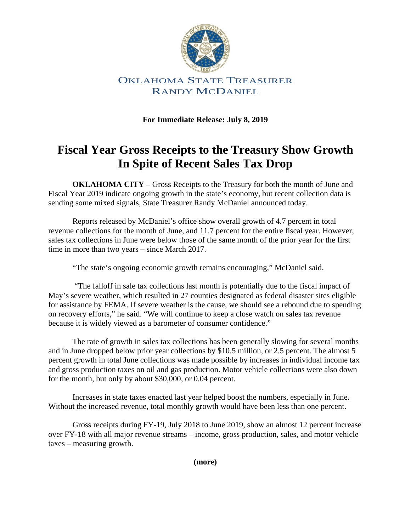

### OKLAHOMA STATE TREASURER RANDY MCDANIEL

**For Immediate Release: July 8, 2019** 

## **Fiscal Year Gross Receipts to the Treasury Show Growth In Spite of Recent Sales Tax Drop**

**OKLAHOMA CITY** – Gross Receipts to the Treasury for both the month of June and Fiscal Year 2019 indicate ongoing growth in the state's economy, but recent collection data is sending some mixed signals, State Treasurer Randy McDaniel announced today.

Reports released by McDaniel's office show overall growth of 4.7 percent in total revenue collections for the month of June, and 11.7 percent for the entire fiscal year. However, sales tax collections in June were below those of the same month of the prior year for the first time in more than two years – since March 2017.

"The state's ongoing economic growth remains encouraging," McDaniel said.

 "The falloff in sale tax collections last month is potentially due to the fiscal impact of May's severe weather, which resulted in 27 counties designated as federal disaster sites eligible for assistance by FEMA. If severe weather is the cause, we should see a rebound due to spending on recovery efforts," he said. "We will continue to keep a close watch on sales tax revenue because it is widely viewed as a barometer of consumer confidence."

The rate of growth in sales tax collections has been generally slowing for several months and in June dropped below prior year collections by \$10.5 million, or 2.5 percent. The almost 5 percent growth in total June collections was made possible by increases in individual income tax and gross production taxes on oil and gas production. Motor vehicle collections were also down for the month, but only by about \$30,000, or 0.04 percent.

Increases in state taxes enacted last year helped boost the numbers, especially in June. Without the increased revenue, total monthly growth would have been less than one percent.

Gross receipts during FY-19, July 2018 to June 2019, show an almost 12 percent increase over FY-18 with all major revenue streams – income, gross production, sales, and motor vehicle taxes – measuring growth.

**(more)**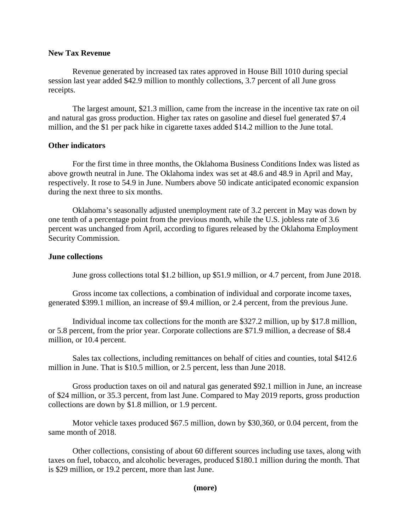#### **New Tax Revenue**

Revenue generated by increased tax rates approved in House Bill 1010 during special session last year added \$42.9 million to monthly collections, 3.7 percent of all June gross receipts.

The largest amount, \$21.3 million, came from the increase in the incentive tax rate on oil and natural gas gross production. Higher tax rates on gasoline and diesel fuel generated \$7.4 million, and the \$1 per pack hike in cigarette taxes added \$14.2 million to the June total.

#### **Other indicators**

For the first time in three months, the Oklahoma Business Conditions Index was listed as above growth neutral in June. The Oklahoma index was set at 48.6 and 48.9 in April and May, respectively. It rose to 54.9 in June. Numbers above 50 indicate anticipated economic expansion during the next three to six months.

Oklahoma's seasonally adjusted unemployment rate of 3.2 percent in May was down by one tenth of a percentage point from the previous month, while the U.S. jobless rate of 3.6 percent was unchanged from April, according to figures released by the Oklahoma Employment Security Commission.

#### **June collections**

June gross collections total \$1.2 billion, up \$51.9 million, or 4.7 percent, from June 2018.

Gross income tax collections, a combination of individual and corporate income taxes, generated \$399.1 million, an increase of \$9.4 million, or 2.4 percent, from the previous June.

Individual income tax collections for the month are \$327.2 million, up by \$17.8 million, or 5.8 percent, from the prior year. Corporate collections are \$71.9 million, a decrease of \$8.4 million, or 10.4 percent.

Sales tax collections, including remittances on behalf of cities and counties, total \$412.6 million in June. That is \$10.5 million, or 2.5 percent, less than June 2018.

Gross production taxes on oil and natural gas generated \$92.1 million in June, an increase of \$24 million, or 35.3 percent, from last June. Compared to May 2019 reports, gross production collections are down by \$1.8 million, or 1.9 percent.

Motor vehicle taxes produced \$67.5 million, down by \$30,360, or 0.04 percent, from the same month of 2018.

Other collections, consisting of about 60 different sources including use taxes, along with taxes on fuel, tobacco, and alcoholic beverages, produced \$180.1 million during the month. That is \$29 million, or 19.2 percent, more than last June.

#### **(more)**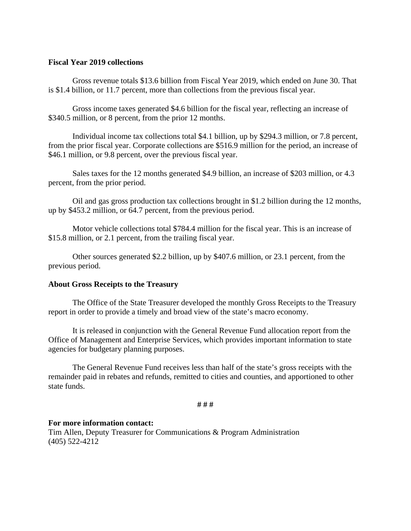#### **Fiscal Year 2019 collections**

Gross revenue totals \$13.6 billion from Fiscal Year 2019, which ended on June 30. That is \$1.4 billion, or 11.7 percent, more than collections from the previous fiscal year.

Gross income taxes generated \$4.6 billion for the fiscal year, reflecting an increase of \$340.5 million, or 8 percent, from the prior 12 months.

Individual income tax collections total \$4.1 billion, up by \$294.3 million, or 7.8 percent, from the prior fiscal year. Corporate collections are \$516.9 million for the period, an increase of \$46.1 million, or 9.8 percent, over the previous fiscal year.

Sales taxes for the 12 months generated \$4.9 billion, an increase of \$203 million, or 4.3 percent, from the prior period.

Oil and gas gross production tax collections brought in \$1.2 billion during the 12 months, up by \$453.2 million, or 64.7 percent, from the previous period.

Motor vehicle collections total \$784.4 million for the fiscal year. This is an increase of \$15.8 million, or 2.1 percent, from the trailing fiscal year.

Other sources generated \$2.2 billion, up by \$407.6 million, or 23.1 percent, from the previous period.

#### **About Gross Receipts to the Treasury**

The Office of the State Treasurer developed the monthly Gross Receipts to the Treasury report in order to provide a timely and broad view of the state's macro economy.

It is released in conjunction with the General Revenue Fund allocation report from the Office of Management and Enterprise Services, which provides important information to state agencies for budgetary planning purposes.

The General Revenue Fund receives less than half of the state's gross receipts with the remainder paid in rebates and refunds, remitted to cities and counties, and apportioned to other state funds.

**# # #** 

#### **For more information contact:**

Tim Allen, Deputy Treasurer for Communications & Program Administration (405) 522-4212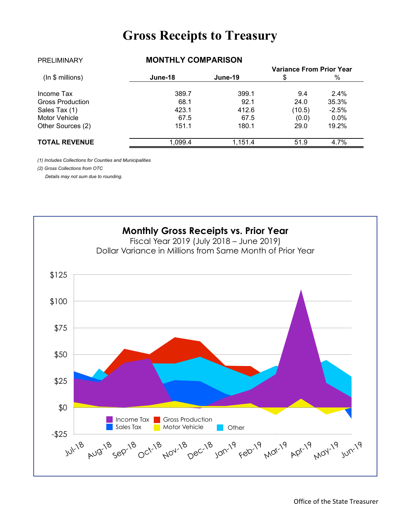# **Gross Receipts to Treasury**

|                         |         |         | <b>Variance From Prior Year</b> |          |  |
|-------------------------|---------|---------|---------------------------------|----------|--|
| (ln \$ millions)        | June-18 | June-19 |                                 | %        |  |
| Income Tax              | 389.7   | 399.1   | 9.4                             | $2.4\%$  |  |
| <b>Gross Production</b> | 68.1    | 92.1    | 24.0                            | 35.3%    |  |
| Sales Tax (1)           | 423.1   | 412.6   | (10.5)                          | $-2.5\%$ |  |
| Motor Vehicle           | 67.5    | 67.5    | (0.0)                           | $0.0\%$  |  |
| Other Sources (2)       | 151.1   | 180.1   | 29.0                            | 19.2%    |  |
| <b>TOTAL REVENUE</b>    | 1,099.4 | 1.151.4 | 51.9                            | 4.7%     |  |

PRELIMINARY **MONTHLY COMPARISON**

*(1) Includes Collections for Counties and Municipalities*

*(2) Gross Collections from OTC*

 *Details may not sum due to rounding.*

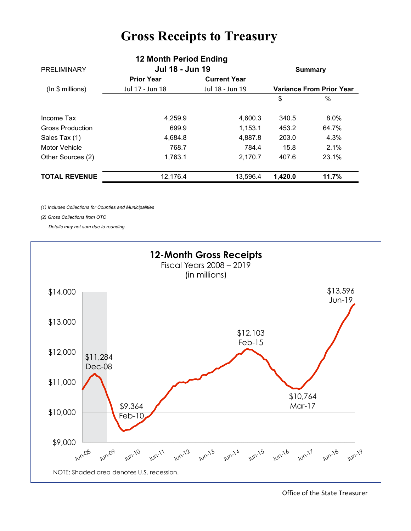# **Gross Receipts to Treasury**

|                         | <b>IZ MUIKILE GHUU LHUIHY</b> |                     |                                 |       |
|-------------------------|-------------------------------|---------------------|---------------------------------|-------|
| <b>PRELIMINARY</b>      | Jul 18 - Jun 19               |                     | <b>Summary</b>                  |       |
|                         | <b>Prior Year</b>             | <b>Current Year</b> |                                 |       |
| (ln \$ millions)        | Jul 17 - Jun 18               | Jul 18 - Jun 19     | <b>Variance From Prior Year</b> |       |
|                         |                               |                     | \$                              | $\%$  |
| Income Tax              | 4,259.9                       | 4,600.3             | 340.5                           | 8.0%  |
| <b>Gross Production</b> | 699.9                         | 1,153.1             | 453.2                           | 64.7% |
| Sales Tax (1)           | 4,684.8                       | 4.887.8             | 203.0                           | 4.3%  |
| Motor Vehicle           | 768.7                         | 784.4               | 15.8                            | 2.1%  |
| Other Sources (2)       | 1,763.1                       | 2,170.7             | 407.6                           | 23.1% |
| <b>TOTAL REVENUE</b>    | 12,176.4                      | 13,596.4            | 1,420.0                         | 11.7% |

**12 Month Period Ending** 

*(1) Includes Collections for Counties and Municipalities*

*(2) Gross Collections from OTC*

 *Details may not sum due to rounding.*



Office of the State Treasurer